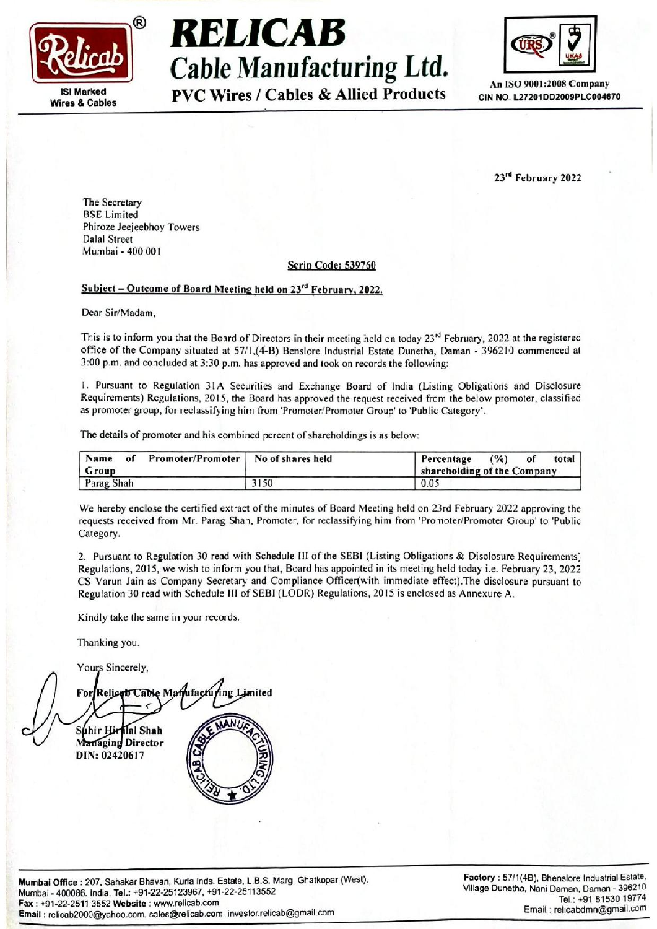

# $\overset{\circ}{\mathbf{B}}$  RELICAB  $\overset{\circ}{\mathbf{C}}$ Cable Manufacturing Ltd.  $\frac{\sqrt{2}}{4\pi \text{ iso } 9001:2008 \text{ Compair}}$ ISI Marked  $_{\text{Wires}}$   $_{\text{AVC}}$  Wires / Cables  $\&$  Allied Products  $_{\text{CIN NO. L27201DD2009PLC004670}}$ **EXECUTE:**<br>
Cable Manufacture<br>
Manufacture<br>
Exercise PVC Wires / Cables &<br>
Exercise PVC Wires / Cables &<br>
PVC Wires / Cables &<br>
PVC Wires / Cables &<br>
Dalal Street<br>
Dalal Street<br>
Mumbai - 400 001<br>
Subject – Outcome of Board **EXECUTE:**<br>
Cable Manufacture<br>
The Secretary<br>
BE Limited<br>
PVC Wires / Cables &<br>
PVC Wires / Cables &<br>
Dalal Street<br>
Dala Street<br>
Mumbai - 400 001<br>
Subject – Outcome of Board Meeting held on 23<sup>rd</sup> Feb<br>
Dear Sir/Madam,<br>
Thi



23<sup>rd</sup> February 2022

The Secretary BSE Limited Phiroze Jeejeebhoy Towers Dalal Street Mumbai - 400 001

#### Scrip Code: 539760

#### Subject - Outcome of Board Meeting held on  $23<sup>rd</sup>$  February, 2022.

Dear Sir/Madam,

This is to inform you that the Board of Directors in their meeting held on today  $23<sup>rd</sup>$  February, 2022 at the registered office of the Company situated at 57/1,(4-B) Benslore Industrial Estate Dunetha, Daman - 396210 commenced at 3:00 p.m. and concluded at 3:30 p.m. has approved and took on records the following:

1. Pursuant to Regulation 31A Securities and Exchange Board of India (Listing Obligations and Disclosure Requirements) Regulations, 2015, the Board has approved the request received from the below promoter, classified as promoter group, for reclassifying him from 'Promoter/Promoter Group' to 'Public Category'.

The details of promoter and his combined percent of shareholdings is as below:

| Promoter/Promoter   No of shares held<br>Name<br>of<br>Group |      | $($ %)<br>Percentage<br>total<br>of<br>shareholding of the Company |
|--------------------------------------------------------------|------|--------------------------------------------------------------------|
| Parag Shah                                                   | 3150 | 0.05                                                               |

We hereby enclose the certified extract of the minutes of Board Meeting held on 23rd February 2022 approving the requests received from Mr. Parag Shah, Promoter, for reclassifying him from 'Promoter/Promoter Group' to 'Public Category.

2. Pursuant to Regulation 30 read with Schedule III of the SEBI (Listing Obligations & Disclosure Requirements) Regulations, 2015, we wish to inform you that, Board has appointed in its meeting held today i.e. February 23, 2022 CS Varun Jain as Company Secretary and Compliance Officer(with immediate effect).The disclosure pursuant to Regulation 30 read with Schedule II] of SEB] (LODR) Regulations, 2015 is enclosed as Annexure A.

Kindly take the same in your records,

Thanking you. Yours Sincerely,

Suhir Hiralal Shah Seria Cost<br>
Seria Cost<br>
Seria Cost<br>
Seria Cost<br>
Dear Sir/Madam,<br>
This is to inform you that the Board of Directors in their m<br>
office of the Company situated at 3:71(4-B) Bensine Internation<br>
1. Pursuant to Regulation 31A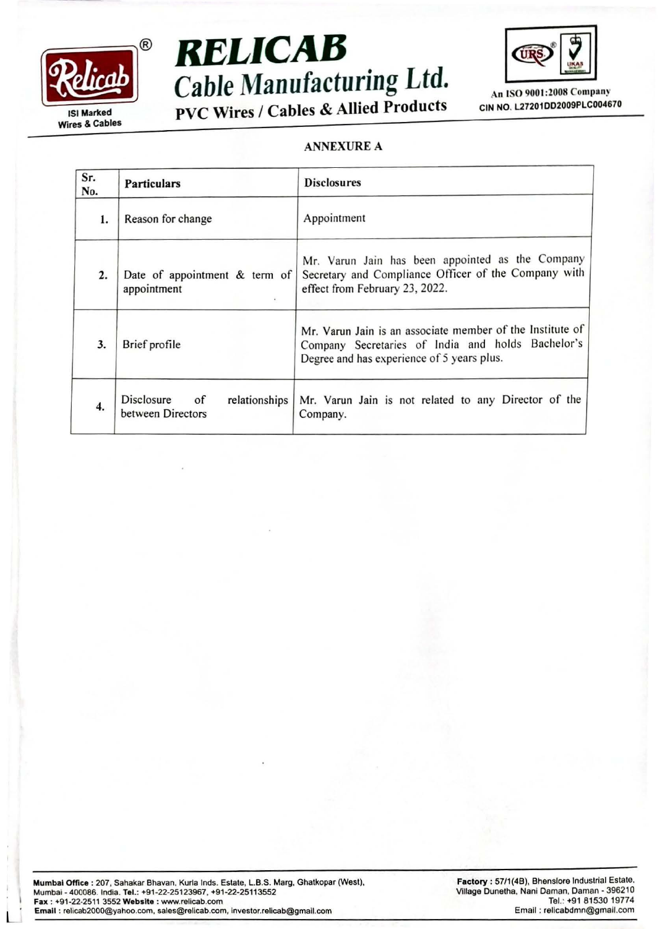





#### ANNEXURE A

| Sr.<br>No.       | <b>Particulars</b>                                              | <b>Disclosures</b>                                                                                                                                           |  |
|------------------|-----------------------------------------------------------------|--------------------------------------------------------------------------------------------------------------------------------------------------------------|--|
| 1.               | Reason for change                                               | Appointment                                                                                                                                                  |  |
| 2.               | Date of appointment & term of<br>appointment<br>÷.              | Mr. Varun Jain has been appointed as the Company<br>Secretary and Compliance Officer of the Company with<br>effect from February 23, 2022.                   |  |
| 3.               | Brief profile                                                   | Mr. Varun Jain is an associate member of the Institute of<br>Company Secretaries of India and holds Bachelor's<br>Degree and has experience of 5 years plus. |  |
| $\overline{4}$ . | Disclosure<br>$\circ$ f<br>relationships  <br>between Directors | Mr. Varun Jain is not related to any Director of the<br>Company.                                                                                             |  |

 $\mathsf{L}$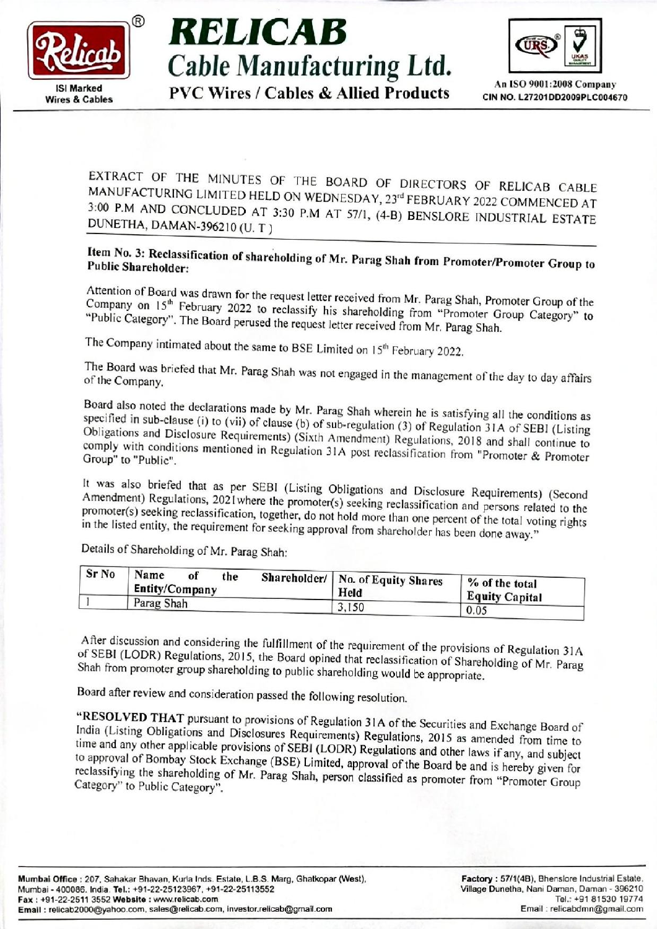

## Cable Manufacturing Ltd.  $W = \frac{|\mathsf{S}|\mathsf{Market}}{\mathsf{N}|\mathsf{S}|\mathsf{N}}$  and  $\mathsf{S} \sim \frac{|\mathsf{S}|\mathsf{Market}}{\mathsf{C}|\mathsf{N}|\mathsf{N}|\mathsf{S}|\mathsf{S}|\mathsf{S}|\mathsf{S}|\mathsf{S}|\mathsf{S}|\mathsf{S}|\mathsf{S}|\mathsf{S}|\mathsf{S}|\mathsf{S}|\mathsf{S}|\mathsf{S}|\mathsf{S}|\mathsf{S}|\mathsf{S}|\mathsf{S}|\mathsf{S}|\mathsf{S}|\mathsf{S}|\mathsf{S}|\mathsf{S}|\mathsf{S$



MANUFACTURING EXTRACT OF THE MINUTES OF THE BOARD OF DIRECTORS OF RELICAB CABLE<br>MANUFACTURING LIMITED HELD ON WEDNESDAY, 23<sup>rd</sup> FEBRUARY 2022 COMMENCED AT<br>3:00 P.M AND CONCLUDED AT 3:30 P.M AT 57/1, (4-B) BENSLORE INDUSTRIAL ESTATE<br>DUNE **RELICAB**<br>Cable Manufact<br>PVC Wires / Cables & A<br>EXTRACT OF THE MINUTES OF THE BO<br>MANUFACTURING LIMITED HELD ON WEDN<br>3:00 P.M AND CONCLUDED AT 3:30 P.M AT<br>DUNETHA, DAMAN-396210 (U. T) 3:00 P.M AND CONCLUDED AT 3:30 P.M AT 57/1, (4-B) BENSLORE INDUSTRIAL ESTATE DUNETHA, DAMAN-396210 (U.T.)

### Item No. 3: Reclassification of shareholding of Mr. Parag Shah from Promoter/Promoter Group to<br>Public Shareholder:

Company Attention of of Board was drawn for the request letter received from Mr. Parag Shah, Promoter Group of the<br>on 15<sup>th</sup> February 2022, to reclossify his shared difficult in the same of the "Public 15" February 2022 to reclassify his shareholding from "Promoter Group Category" to Category". The Board perused the request letter received from Mr. Parag Shah.

The Company intimated about the same to BSE Limited on 15<sup>th</sup> February 2022.

of The e Board was briefed that Mr. Parag Shah was not engaged in the management of the day to day affairs the Company.

specified in sub-clause (i) to (vii) of clause (b) of sub-regulation (3) of Regulation 31A of SEBI (Listing<br>Obligations and Disclosure Bequirement) (Ci + b) Board also noted the declarations made by Mr. Parag Shah wherein he is satisfying all the conditions as Obligations and Disclosure Requirements) (Sixth Amendment) Regulations, 2018 and shall continue to<br>comply with conditions mentioned in Break is a state of the distributions, 2018 and shall continue to comply with conditions mentioned in Regulation 31A post reclassification from "Promoter & Promoter<br>Group" to "Public". Group" to "Public". EXTRACT OF THE MINUTES OF THE EMANUFACTURING LIMITED HELD ON WED<br>3:00 P.M AND CONCLUDED AT 3:30 P.M A<br>3:00 P.M AND CONCLUDED AT 3:30 P.M A<br>DUNETHA, DAMAN-396210 (U. T)<br>**Item No. 3: Reclassification of shareholding of l**<br> **EXTRACT OF THE MINUTES OF THE 1**<br> **EXTRACT OF THE MINUTES OF THE 1**<br>
MANUFACTURING LIMITED HELD ON WEL<br>
3:00 P.M AND CONCLUDED AT 3:30 P.M<br>
1<br>
3:00 P.M AND CONCLUDED AT 3:30 P.M<br> **DUNETHA**, DAMAN-396210 (U. T)<br> **Item No.** 

Amendment) Regulations, 2021 where the promoter(s) seeking reclassification and persons related to the<br>promoter(s) seeking reclassification, together denoted by the set of the promoter of the It was also briefed that as per SEBI (Listing Obligations and Disclosure Requirements) (Second promoter(s) seeking reclassification, together, do not hold more than one percent of the total voting rights<br>in the listed entity, the requirement for seeking approval from shareholder has been done away." in the listed entity, the requirement for seeking approval from shareholder has been done away."

Details of Shareholding of Mr. Parag Shah:

| Sr No | Name<br>of<br>Entity/Company | the |  | Shareholder/   No. of Equity Shares<br>Held | % of the total        |
|-------|------------------------------|-----|--|---------------------------------------------|-----------------------|
|       | Parag Shah                   |     |  |                                             | <b>Equity Capital</b> |
|       |                              |     |  | 3,150                                       | 0.05                  |

of SEBI (LODR) Regulations, 2015, the Board opined that reclassification of Shareholding of Mr. Parag<br>Shah from promoter group shareholding to public shareholding would be appropriate. After discussion and considering the fulfillment of the requirement of the provisions of Regulation 31A<br>of SEBL (LODR) Regulations 2015, the President Constant of the provisions of Regulation 31A Shah from promoter group shareholding to public shareholding would be appropriate.

Board after review and consideration passed the following resolution.

"RESOLVED THAT pursuant to provisions of Regulation 31A of the Securities and Exchange Board of India (Listing Obligations and Disclosures Requirements) Regulations, 2015 as amended from time to time India (Listing Obligations and Disclosures Requirements) Regulations, 2015 as amended from time to time and any other applicable provisions of SEBI (LODR) Regulations and other laws if any, and subject to approval of Bomba reclassifying the shareholding of Mr. Parag Shah, person classified as promoter from "Promoter Group<br>Category" to Public Category". approval of Bombay Stock Exchange (BSE) Limited, approval of the Board be and is hereby given for Category" to Public Category". Public Shareholder; where we we state tendent got rar, Parag Shah from Promoter/Promoter Group to Company on the mean of the respect terre received from Mr. Parag Shah, Promoter Group Category" to The Company imimated abo **EXECUTE:**<br>
Cable Manufacturing Ltd.<br>
The state of the Manufacturing Ltd.<br>
EVC Wires / Cables & Allied Products case and consideration<br>
EVC Wires / Cables & Allied Products case and consideration<br>
EVC Wires / Cables & All